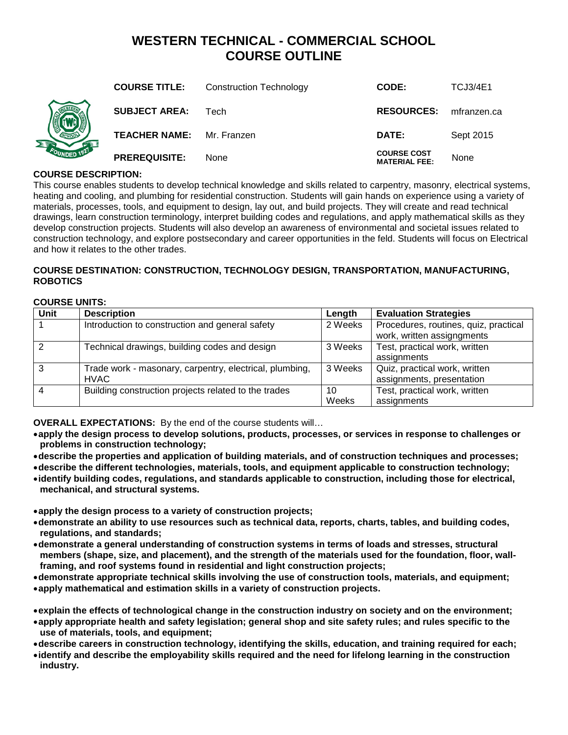# **WESTERN TECHNICAL - COMMERCIAL SCHOOL COURSE OUTLINE**

| <b>DED 1921</b> | <b>COURSE TITLE:</b> | <b>Construction Technology</b> | CODE:                                      | <b>TCJ3/4E1</b> |
|-----------------|----------------------|--------------------------------|--------------------------------------------|-----------------|
|                 | <b>SUBJECT AREA:</b> | Tech                           | <b>RESOURCES:</b>                          | mfranzen.ca     |
|                 | <b>TEACHER NAME:</b> | Mr. Franzen                    | DATE:                                      | Sept 2015       |
|                 | <b>PREREQUISITE:</b> | None                           | <b>COURSE COST</b><br><b>MATERIAL FEE:</b> | None            |

## **COURSE DESCRIPTION:**

This course enables students to develop technical knowledge and skills related to carpentry, masonry, electrical systems, heating and cooling, and plumbing for residential construction. Students will gain hands on experience using a variety of materials, processes, tools, and equipment to design, lay out, and build projects. They will create and read technical drawings, learn construction terminology, interpret building codes and regulations, and apply mathematical skills as they develop construction projects. Students will also develop an awareness of environmental and societal issues related to construction technology, and explore postsecondary and career opportunities in the feld. Students will focus on Electrical and how it relates to the other trades.

## **COURSE DESTINATION: CONSTRUCTION, TECHNOLOGY DESIGN, TRANSPORTATION, MANUFACTURING, ROBOTICS**

## **COURSE UNITS:**

| Unit | <b>Description</b>                                                     | Length      | <b>Evaluation Strategies</b>                                        |
|------|------------------------------------------------------------------------|-------------|---------------------------------------------------------------------|
|      | Introduction to construction and general safety                        | 2 Weeks     | Procedures, routines, quiz, practical<br>work, written assigngments |
|      | Technical drawings, building codes and design                          | 3 Weeks     | Test, practical work, written<br>assignments                        |
|      | Trade work - masonary, carpentry, electrical, plumbing,<br><b>HVAC</b> | 3 Weeks     | Quiz, practical work, written<br>assignments, presentation          |
|      | Building construction projects related to the trades                   | 10<br>Weeks | Test, practical work, written<br>assignments                        |

**OVERALL EXPECTATIONS:** By the end of the course students will…

- •**apply the design process to develop solutions, products, processes, or services in response to challenges or problems in construction technology;**
- •**describe the properties and application of building materials, and of construction techniques and processes;**
- •**describe the different technologies, materials, tools, and equipment applicable to construction technology;**
- •**identify building codes, regulations, and standards applicable to construction, including those for electrical, mechanical, and structural systems.**

•**apply the design process to a variety of construction projects;**

- •**demonstrate an ability to use resources such as technical data, reports, charts, tables, and building codes, regulations, and standards;**
- •**demonstrate a general understanding of construction systems in terms of loads and stresses, structural members (shape, size, and placement), and the strength of the materials used for the foundation, floor, wallframing, and roof systems found in residential and light construction projects;**

•**demonstrate appropriate technical skills involving the use of construction tools, materials, and equipment;**

•**apply mathematical and estimation skills in a variety of construction projects.**

•**explain the effects of technological change in the construction industry on society and on the environment;**

•**apply appropriate health and safety legislation; general shop and site safety rules; and rules specific to the use of materials, tools, and equipment;**

- •**describe careers in construction technology, identifying the skills, education, and training required for each;**
- •**identify and describe the employability skills required and the need for lifelong learning in the construction industry.**